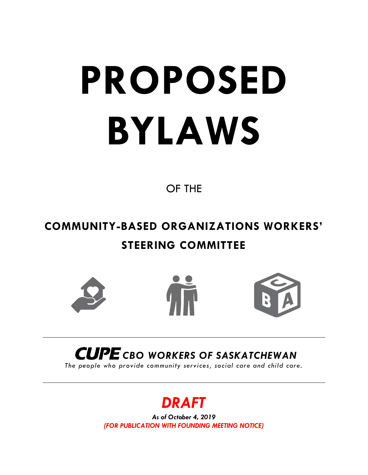# **PROPOSED BYLAWS**

OF THE

# **COMMUNITY-BASED ORGANIZATIONS WORKERS' STEERING COMMITTEE**







# *CUPE* CBO WORKERS OF SASKATCHEWAN

*The people who provide community services, social care and child care.* 

# *DRAFT*

*As of October 4, 2019 (FOR PUBLICATION WITH FOUNDING MEETING NOTICE)*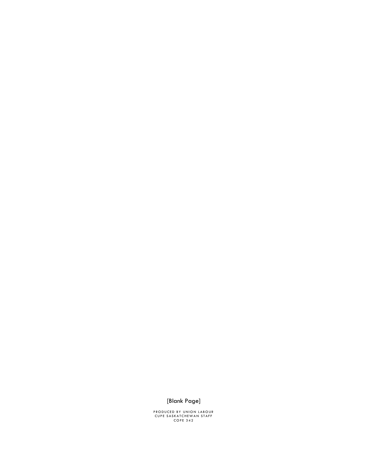#### [Blank Page]

PRODUCED BY UNION LABOUR<br>CUPE SASKATCHEWAN STAFF<br>COPE 342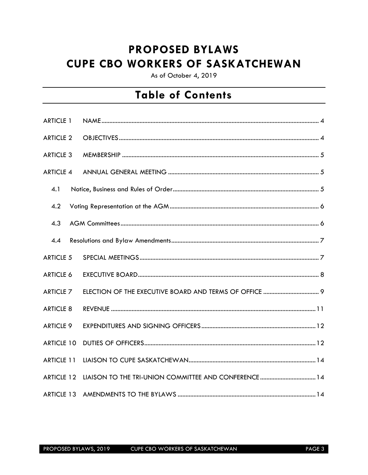## **PROPOSED BYLAWS CUPE CBO WORKERS OF SASKATCHEWAN**

As of October 4, 2019

## **Table of Contents**

| <b>ARTICLE 1</b>  |  |
|-------------------|--|
| <b>ARTICLE 2</b>  |  |
| <b>ARTICLE 3</b>  |  |
| <b>ARTICLE 4</b>  |  |
| 4.1               |  |
| 4.2               |  |
| 4.3               |  |
| 4.4               |  |
| <b>ARTICLE 5</b>  |  |
| <b>ARTICLE 6</b>  |  |
| <b>ARTICLE 7</b>  |  |
| <b>ARTICLE 8</b>  |  |
| <b>ARTICLE 9</b>  |  |
| <b>ARTICLE 10</b> |  |
| <b>ARTICLE 11</b> |  |
| <b>ARTICLE 12</b> |  |
| ARTICLE 13        |  |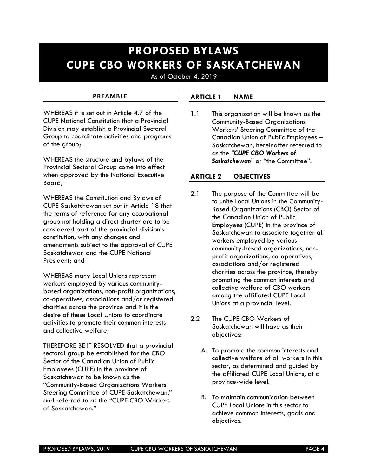## **PROPOSED BYLAWS CUPE CBO WORKERS OF SASKATCHEWAN**

As of October 4, 2019

#### **PREAMBLE**

WHEREAS it is set out in Article 4.7 of the CUPE National Constitution that a Provincial Division may establish a Provincial Sectoral Group to coordinate activities and programs of the group;

WHEREAS the structure and bylaws of the Provincial Sectoral Group come into effect when approved by the National Executive Board;

WHEREAS the Constitution and Bylaws of CUPE Saskatchewan set out in Article 18 that the terms of reference for any occupational group not holding a direct charter are to be considered part of the provincial division's constitution, with any changes and amendments subject to the approval of CUPE Saskatchewan and the CUPE National President; and

WHEREAS many Local Unions represent workers employed by various communitybased organizations, non-profit organizations, co-operatives, associations and/or registered charities across the province and it is the desire of these Local Unions to coordinate activities to promote their common interests and collective welfare;

THEREFORE BE IT RESOLVED that a provincial sectoral group be established for the CBO Sector of the Canadian Union of Public Employees (CUPE) in the province of Saskatchewan to be known as the "Community-Based Organizations Workers Steering Committee of CUPE Saskatchewan," and referred to as the "CUPE CBO Workers of Saskatchewan."

#### <span id="page-3-0"></span>**ARTICLE 1 NAME**

1.1 This organization will be known as the Community-Based Organizations Workers' Steering Committee of the Canadian Union of Public Employees – Saskatchewan, hereinafter referred to as the *"CUPE CBO Workers of Saskatchewan"* or "the Committee".

#### <span id="page-3-1"></span>**ARTICLE 2 OBJECTIVES**

- 2.1 The purpose of the Committee will be to unite Local Unions in the Community-Based Organizations (CBO) Sector of the Canadian Union of Public Employees (CUPE) in the province of Saskatchewan to associate together all workers employed by various community-based organizations, nonprofit organizations, co-operatives, associations and/or registered charities across the province, thereby promoting the common interests and collective welfare of CBO workers among the affiliated CUPE Local Unions at a provincial level.
- 2.2 The CUPE CBO Workers of Saskatchewan will have as their objectives:
	- A. To promote the common interests and collective welfare of all workers in this sector, as determined and guided by the affiliated CUPE Local Unions, at a province-wide level.
	- B. To maintain communication between CUPE Local Unions in this sector to achieve common interests, goals and objectives.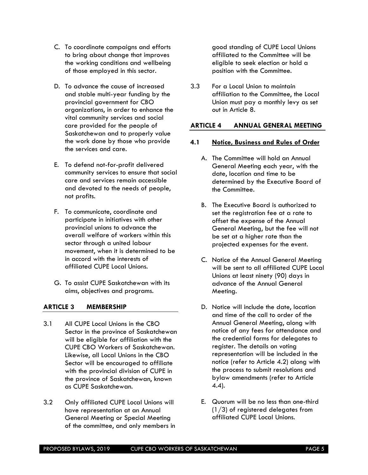- C. To coordinate campaigns and efforts to bring about change that improves the working conditions and wellbeing of those employed in this sector.
- D. To advance the cause of increased and stable multi-year funding by the provincial government for CBO organizations, in order to enhance the vital community services and social care provided for the people of Saskatchewan and to properly value the work done by those who provide the services and care.
- E. To defend not-for-profit delivered community services to ensure that social care and services remain accessible and devoted to the needs of people, not profits.
- F. To communicate, coordinate and participate in initiatives with other provincial unions to advance the overall welfare of workers within this sector through a united labour movement, when it is determined to be in accord with the interests of affiliated CUPE Local Unions.
- G. To assist CUPE Saskatchewan with its aims, objectives and programs.

#### <span id="page-4-0"></span>**ARTICLE 3 MEMBERSHIP**

- 3.1 All CUPE Local Unions in the CBO Sector in the province of Saskatchewan will be eligible for affiliation with the CUPE CBO Workers of Saskatchewan. Likewise, all Local Unions in the CBO Sector will be encouraged to affiliate with the provincial division of CUPE in the province of Saskatchewan, known as CUPE Saskatchewan.
- 3.2 Only affiliated CUPE Local Unions will have representation at an Annual General Meeting or Special Meeting of the committee, and only members in

good standing of CUPE Local Unions affiliated to the Committee will be eligible to seek election or hold a position with the Committee.

3.3 For a Local Union to maintain affiliation to the Committee, the Local Union must pay a monthly levy as set out in Article 8.

#### <span id="page-4-1"></span>**ARTICLE 4 ANNUAL GENERAL MEETING**

#### <span id="page-4-2"></span>**4.1 Notice, Business and Rules of Order**

- A. The Committee will hold an Annual General Meeting each year, with the date, location and time to be determined by the Executive Board of the Committee.
- B. The Executive Board is authorized to set the registration fee at a rate to offset the expense of the Annual General Meeting, but the fee will not be set at a higher rate than the projected expenses for the event.
- C. Notice of the Annual General Meeting will be sent to all affiliated CUPE Local Unions at least ninety (90) days in advance of the Annual General Meeting.
- D. Notice will include the date, location and time of the call to order of the Annual General Meeting, along with notice of any fees for attendance and the credential forms for delegates to register. The details on voting representation will be included in the notice (refer to Article 4.2) along with the process to submit resolutions and bylaw amendments (refer to Article 4.4).
- E. Quorum will be no less than one-third (1/3) of registered delegates from affiliated CUPE Local Unions.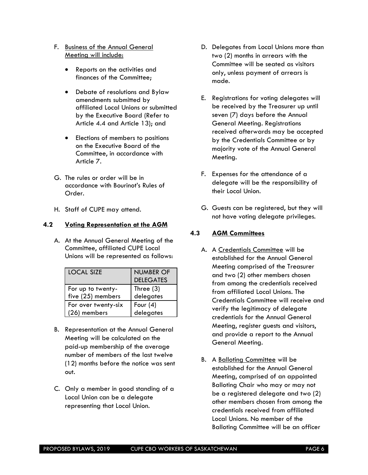- F. Business of the Annual General Meeting will include:
	- Reports on the activities and finances of the Committee;
	- Debate of resolutions and Bylaw amendments submitted by affiliated Local Unions or submitted by the Executive Board (Refer to Article 4.4 and Article 13); and
	- Elections of members to positions on the Executive Board of the Committee, in accordance with Article 7.
- G. The rules or order will be in accordance with Bourinot's Rules of Order.
- H. Staff of CUPE may attend.

#### <span id="page-5-0"></span>**4.2 Voting Representation at the AGM**

A. At the Annual General Meeting of the Committee, affiliated CUPE Local Unions will be represented as follows:

| <b>LOCAL SIZE</b>   | <b>NUMBER OF</b> |
|---------------------|------------------|
|                     | <b>DELEGATES</b> |
| For up to twenty-   | Three $(3)$      |
| five (25) members   | delegates        |
| For over twenty-six | Four $(4)$       |
| (26) members        | delegates        |

- B. Representation at the Annual General Meeting will be calculated on the paid-up membership of the average number of members of the last twelve (12) months before the notice was sent out.
- C. Only a member in good standing of a Local Union can be a delegate representing that Local Union.
- D. Delegates from Local Unions more than two (2) months in arrears with the Committee will be seated as visitors only, unless payment of arrears is made.
- E. Registrations for voting delegates will be received by the Treasurer up until seven (7) days before the Annual General Meeting. Registrations received afterwards may be accepted by the Credentials Committee or by majority vote of the Annual General Meeting.
- F. Expenses for the attendance of a delegate will be the responsibility of their Local Union.
- G. Guests can be registered, but they will not have voting delegate privileges.

#### <span id="page-5-1"></span>**4.3 AGM Committees**

- A. A Credentials Committee will be established for the Annual General Meeting comprised of the Treasurer and two (2) other members chosen from among the credentials received from affiliated Local Unions. The Credentials Committee will receive and verify the legitimacy of delegate credentials for the Annual General Meeting, register guests and visitors, and provide a report to the Annual General Meeting.
- B. A Balloting Committee will be established for the Annual General Meeting, comprised of an appointed Balloting Chair who may or may not be a registered delegate and two (2) other members chosen from among the credentials received from affiliated Local Unions. No member of the Balloting Committee will be an officer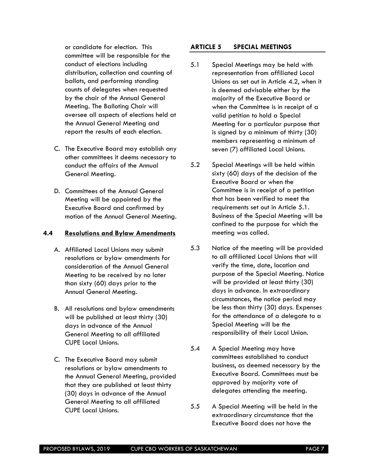or candidate for election. This committee will be responsible for the conduct of elections including distribution, collection and counting of ballots, and performing standing counts of delegates when requested by the chair of the Annual General Meeting. The Balloting Chair will oversee all aspects of elections held at the Annual General Meeting and report the results of each election.

- C. The Executive Board may establish any other committees it deems necessary to conduct the affairs of the Annual General Meeting.
- D. Committees of the Annual General Meeting will be appointed by the Executive Board and confirmed by motion of the Annual General Meeting.

#### <span id="page-6-0"></span>**4.4 Resolutions and Bylaw Amendments**

- A. Affiliated Local Unions may submit resolutions or bylaw amendments for consideration of the Annual General Meeting to be received by no later than sixty (60) days prior to the Annual General Meeting.
- B. All resolutions and bylaw amendments will be published at least thirty (30) days in advance of the Annual General Meeting to all affiliated CUPE Local Unions.
- C. The Executive Board may submit resolutions or bylaw amendments to the Annual General Meeting, provided that they are published at least thirty (30) days in advance of the Annual General Meeting to all affiliated CUPE Local Unions.

#### <span id="page-6-1"></span>**ARTICLE 5 SPECIAL MEETINGS**

- 5.1 Special Meetings may be held with representation from affiliated Local Unions as set out in Article 4.2, when it is deemed advisable either by the majority of the Executive Board or when the Committee is in receipt of a valid petition to hold a Special Meeting for a particular purpose that is signed by a minimum of thirty (30) members representing a minimum of seven (7) affiliated Local Unions.
- 5.2 Special Meetings will be held within sixty (60) days of the decision of the Executive Board or when the Committee is in receipt of a petition that has been verified to meet the requirements set out in Article 5.1. Business of the Special Meeting will be confined to the purpose for which the meeting was called.
- 5.3 Notice of the meeting will be provided to all affiliated Local Unions that will verify the time, date, location and purpose of the Special Meeting. Notice will be provided at least thirty (30) days in advance. In extraordinary circumstances, the notice period may be less than thirty (30) days. Expenses for the attendance of a delegate to a Special Meeting will be the responsibility of their Local Union.
- 5.4 A Special Meeting may have committees established to conduct business, as deemed necessary by the Executive Board. Committees must be approved by majority vote of delegates attending the meeting.
- 5.5 A Special Meeting will be held in the extraordinary circumstance that the Executive Board does not have the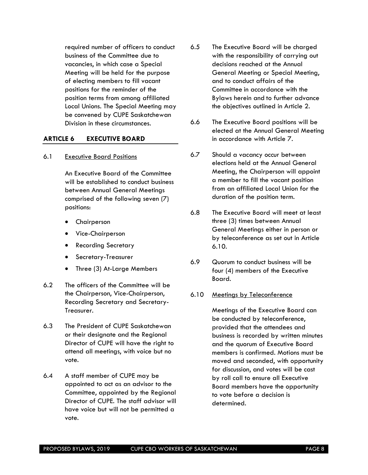required number of officers to conduct business of the Committee due to vacancies, in which case a Special Meeting will be held for the purpose of electing members to fill vacant positions for the reminder of the position terms from among affiliated Local Unions. The Special Meeting may be convened by CUPE Saskatchewan Division in these circumstances.

#### <span id="page-7-0"></span>**ARTICLE 6 EXECUTIVE BOARD**

#### 6.1 Executive Board Positions

An Executive Board of the Committee will be established to conduct business between Annual General Meetings comprised of the following seven (7) positions:

- Chairperson
- Vice-Chairperson
- Recording Secretary
- Secretary-Treasurer
- Three (3) At-Large Members
- 6.2 The officers of the Committee will be the Chairperson, Vice-Chairperson, Recording Secretary and Secretary-Treasurer.
- 6.3 The President of CUPE Saskatchewan or their designate and the Regional Director of CUPE will have the right to attend all meetings, with voice but no vote.
- 6.4 A staff member of CUPE may be appointed to act as an advisor to the Committee, appointed by the Regional Director of CUPE. The staff advisor will have voice but will not be permitted a vote.
- 6.5 The Executive Board will be charged with the responsibility of carrying out decisions reached at the Annual General Meeting or Special Meeting, and to conduct affairs of the Committee in accordance with the Bylaws herein and to further advance the objectives outlined in Article 2.
- 6.6 The Executive Board positions will be elected at the Annual General Meeting in accordance with Article 7.
- 6.7 Should a vacancy occur between elections held at the Annual General Meeting, the Chairperson will appoint a member to fill the vacant position from an affiliated Local Union for the duration of the position term.
- 6.8 The Executive Board will meet at least three (3) times between Annual General Meetings either in person or by teleconference as set out in Article 6.10.
- 6.9 Quorum to conduct business will be four (4) members of the Executive Board.

#### 6.10 Meetings by Teleconference

Meetings of the Executive Board can be conducted by teleconference, provided that the attendees and business is recorded by written minutes and the quorum of Executive Board members is confirmed. Motions must be moved and seconded, with opportunity for discussion, and votes will be cast by roll call to ensure all Executive Board members have the opportunity to vote before a decision is determined.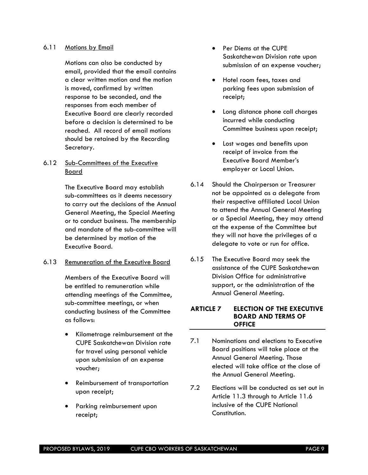#### 6.11 Motions by Email

Motions can also be conducted by email, provided that the email contains a clear written motion and the motion is moved, confirmed by written response to be seconded, and the responses from each member of Executive Board are clearly recorded before a decision is determined to be reached. All record of email motions should be retained by the Recording Secretary.

#### 6.12 Sub-Committees of the Executive Board

The Executive Board may establish sub-committees as it deems necessary to carry out the decisions of the Annual General Meeting, the Special Meeting or to conduct business. The membership and mandate of the sub-committee will be determined by motion of the Executive Board.

#### 6.13 Remuneration of the Executive Board

Members of the Executive Board will be entitled to remuneration while attending meetings of the Committee, sub-committee meetings, or when conducting business of the Committee as follows:

- Kilometrage reimbursement at the CUPE Saskatchewan Division rate for travel using personal vehicle upon submission of an expense voucher;
- Reimbursement of transportation upon receipt;
- Parking reimbursement upon receipt;
- Per Diems at the CUPE Saskatchewan Division rate upon submission of an expense voucher;
- Hotel room fees, taxes and parking fees upon submission of receipt;
- Long distance phone call charges incurred while conducting Committee business upon receipt;
- Lost wages and benefits upon receipt of invoice from the Executive Board Member's employer or Local Union.
- 6.14 Should the Chairperson or Treasurer not be appointed as a delegate from their respective affiliated Local Union to attend the Annual General Meeting or a Special Meeting, they may attend at the expense of the Committee but they will not have the privileges of a delegate to vote or run for office.
- 6.15 The Executive Board may seek the assistance of the CUPE Saskatchewan Division Office for administrative support, or the administration of the Annual General Meeting.

#### <span id="page-8-0"></span>**ARTICLE 7 ELECTION OF THE EXECUTIVE BOARD AND TERMS OF OFFICE**

- 7.1 Nominations and elections to Executive Board positions will take place at the Annual General Meeting. Those elected will take office at the close of the Annual General Meeting.
- 7.2 Elections will be conducted as set out in Article 11.3 through to Article 11.6 inclusive of the CUPE National Constitution.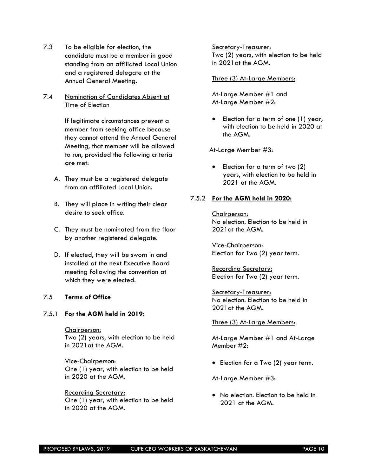- 7.3 To be eligible for election, the candidate must be a member in good standing from an affiliated Local Union and a registered delegate at the Annual General Meeting.
- 7.4 Nomination of Candidates Absent at Time of Election

If legitimate circumstances prevent a member from seeking office because they cannot attend the Annual General Meeting, that member will be allowed to run, provided the following criteria are met:

- A. They must be a registered delegate from an affiliated Local Union.
- B. They will place in writing their clear desire to seek office.
- C. They must be nominated from the floor by another registered delegate.
- D. If elected, they will be sworn in and installed at the next Executive Board meeting following the convention at which they were elected.

#### 7.5 **Terms of Office**

#### 7.5.1 **For the AGM held in 2019:**

Chairperson: Two (2) years, with election to be held in 2021at the AGM.

Vice-Chairperson: One (1) year, with election to be held in 2020 at the AGM.

Recording Secretary: One (1) year, with election to be held in 2020 at the AGM.

Secretary-Treasurer: Two (2) years, with election to be held in 2021at the AGM.

#### Three (3) At-Large Members:

At-Large Member #1 and At-Large Member #2:

• Election for a term of one (1) year, with election to be held in 2020 at the AGM.

At-Large Member #3:

• Election for a term of two (2) years, with election to be held in 2021 at the AGM.

#### 7.5.2 **For the AGM held in 2020:**

Chairperson: No election. Election to be held in 2021at the AGM.

Vice-Chairperson: Election for Two (2) year term.

Recording Secretary: Election for Two (2) year term.

Secretary-Treasurer: No election. Election to be held in 2021at the AGM.

#### Three (3) At-Large Members:

At-Large Member #1 and At-Large Member #2:

• Election for a Two (2) year term.

At-Large Member #3:

• No election. Election to be held in 2021 at the AGM.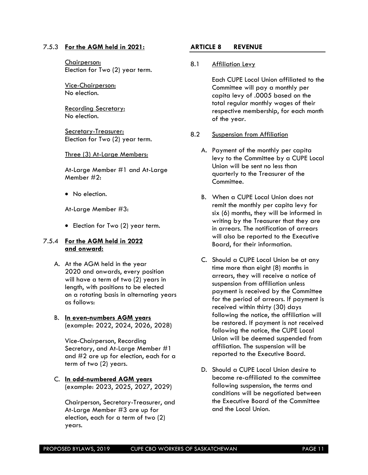#### 7.5.3 **For the AGM held in 2021:**

Chairperson: Election for Two (2) year term.

Vice-Chairperson: No election.

Recording Secretary: No election.

Secretary-Treasurer: Election for Two (2) year term.

#### Three (3) At-Large Members:

At-Large Member #1 and At-Large Member #2:

• No election.

At-Large Member #3:

• Election for Two (2) year term.

#### 7.5.4 **For the AGM held in 2022 and onward:**

A. At the AGM held in the year 2020 and onwards, every position will have a term of two (2) years in length, with positions to be elected on a rotating basis in alternating years as follows:

#### B. **In even-numbers AGM years**  (example: 2022, 2024, 2026, 2028)

Vice-Chairperson, Recording Secretary, and At-Large Member #1 and #2 are up for election, each for a term of two (2) years.

#### C. **In odd-numbered AGM years** (example: 2023, 2025, 2027, 2029)

Chairperson, Secretary-Treasurer, and At-Large Member #3 are up for election, each for a term of two (2) years.

#### <span id="page-10-0"></span>**ARTICLE 8 REVENUE**

#### 8.1 Affiliation Levy

Each CUPE Local Union affiliated to the Committee will pay a monthly per capita levy of .0005 based on the total regular monthly wages of their respective membership, for each month of the year.

#### 8.2 Suspension from Affiliation

- A. Payment of the monthly per capita levy to the Committee by a CUPE Local Union will be sent no less than quarterly to the Treasurer of the Committee.
- B. When a CUPE Local Union does not remit the monthly per capita levy for six (6) months, they will be informed in writing by the Treasurer that they are in arrears. The notification of arrears will also be reported to the Executive Board, for their information.
- C. Should a CUPE Local Union be at any time more than eight (8) months in arrears, they will receive a notice of suspension from affiliation unless payment is received by the Committee for the period of arrears. If payment is received within thirty (30) days following the notice, the affiliation will be restored. If payment is not received following the notice, the CUPE Local Union will be deemed suspended from affiliation. The suspension will be reported to the Executive Board.
- D. Should a CUPE Local Union desire to become re-affiliated to the committee following suspension, the terms and conditions will be negotiated between the Executive Board of the Committee and the Local Union.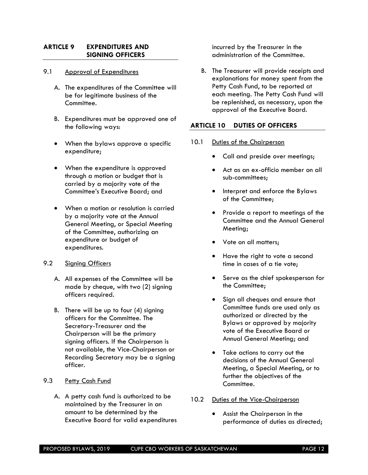#### <span id="page-11-0"></span>**ARTICLE 9 EXPENDITURES AND SIGNING OFFICERS**

#### 9.1 Approval of Expenditures

- A. The expenditures of the Committee will be for legitimate business of the Committee.
- B. Expenditures must be approved one of the following ways:
- When the bylaws approve a specific expenditure;
- When the expenditure is approved through a motion or budget that is carried by a majority vote of the Committee's Executive Board; and
- When a motion or resolution is carried by a majority vote at the Annual General Meeting, or Special Meeting of the Committee, authorizing an expenditure or budget of expenditures.
- 9.2 Signing Officers
	- A. All expenses of the Committee will be made by cheque, with two (2) signing officers required.
	- B. There will be up to four (4) signing officers for the Committee. The Secretary-Treasurer and the Chairperson will be the primary signing officers. If the Chairperson is not available, the Vice-Chairperson or Recording Secretary may be a signing officer.

#### 9.3 Petty Cash Fund

A. A petty cash fund is authorized to be maintained by the Treasurer in an amount to be determined by the Executive Board for valid expenditures incurred by the Treasurer in the administration of the Committee.

B. The Treasurer will provide receipts and explanations for money spent from the Petty Cash Fund, to be reported at each meeting. The Petty Cash Fund will be replenished, as necessary, upon the approval of the Executive Board.

#### <span id="page-11-1"></span>**ARTICLE 10 DUTIES OF OFFICERS**

- 10.1 Duties of the Chairperson
	- Call and preside over meetings;
	- Act as an ex-officio member on all sub-committees;
	- Interpret and enforce the Bylaws of the Committee;
	- Provide a report to meetings of the Committee and the Annual General Meeting;
	- Vote on all matters:
	- Have the right to vote a second time in cases of a tie vote;
	- Serve as the chief spokesperson for the Committee;
	- Sign all cheques and ensure that Committee funds are used only as authorized or directed by the Bylaws or approved by majority vote of the Executive Board or Annual General Meeting; and
	- Take actions to carry out the decisions of the Annual General Meeting, a Special Meeting, or to further the objectives of the Committee.
- 10.2 Duties of the Vice-Chairperson
	- Assist the Chairperson in the performance of duties as directed;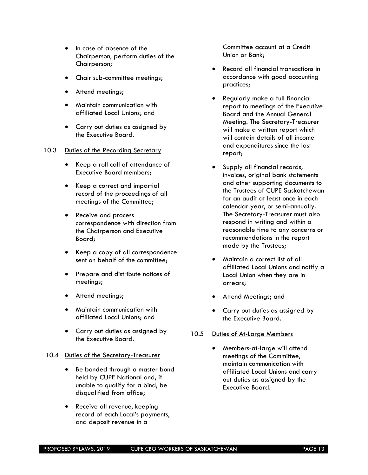- In case of absence of the Chairperson, perform duties of the Chairperson;
- Chair sub-committee meetings;
- Attend meetings;
- Maintain communication with affiliated Local Unions; and
- Carry out duties as assigned by the Executive Board.
- 10.3 Duties of the Recording Secretary
	- Keep a roll call of attendance of Executive Board members;
	- Keep a correct and impartial record of the proceedings of all meetings of the Committee;
	- Receive and process correspondence with direction from the Chairperson and Executive Board;
	- Keep a copy of all correspondence sent on behalf of the committee;
	- Prepare and distribute notices of meetings;
	- Attend meetings;
	- Maintain communication with affiliated Local Unions; and
	- Carry out duties as assigned by the Executive Board.

#### 10.4 Duties of the Secretary-Treasurer

- Be bonded through a master bond held by CUPE National and, if unable to qualify for a bind, be disqualified from office;
- Receive all revenue, keeping record of each Local's payments, and deposit revenue in a

Committee account at a Credit Union or Bank;

- Record all financial transactions in accordance with good accounting practices;
- Regularly make a full financial report to meetings of the Executive Board and the Annual General Meeting. The Secretary-Treasurer will make a written report which will contain details of all income and expenditures since the last report;
- Supply all financial records, invoices, original bank statements and other supporting documents to the Trustees of CUPE Saskatchewan for an audit at least once in each calendar year, or semi-annually. The Secretary-Treasurer must also respond in writing and within a reasonable time to any concerns or recommendations in the report made by the Trustees;
- Maintain a correct list of all affiliated Local Unions and notify a Local Union when they are in arrears;
- Attend Meetings; and
- Carry out duties as assigned by the Executive Board.

#### 10.5 Duties of At-Large Members

• Members-at-large will attend meetings of the Committee, maintain communication with affiliated Local Unions and carry out duties as assigned by the Executive Board.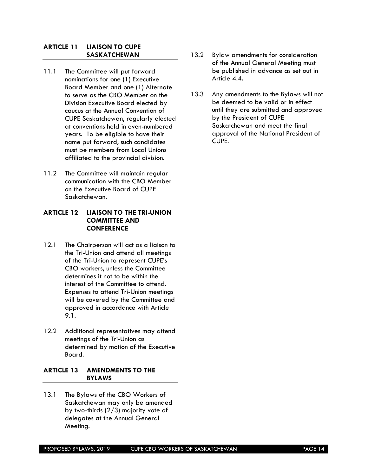#### <span id="page-13-0"></span>**ARTICLE 11 LIAISON TO CUPE SASKATCHEWAN**

- 11.1 The Committee will put forward nominations for one (1) Executive Board Member and one (1) Alternate to serve as the CBO Member on the Division Executive Board elected by caucus at the Annual Convention of CUPE Saskatchewan, regularly elected at conventions held in even-numbered years. To be eligible to have their name put forward, such candidates must be members from Local Unions affiliated to the provincial division.
- 11.2 The Committee will maintain regular communication with the CBO Member on the Executive Board of CUPE Saskatchewan.

#### <span id="page-13-1"></span>**ARTICLE 12 LIAISON TO THE TRI-UNION COMMITTEE AND CONFERENCE**

- 12.1 The Chairperson will act as a liaison to the Tri-Union and attend all meetings of the Tri-Union to represent CUPE's CBO workers, unless the Committee determines it not to be within the interest of the Committee to attend. Expenses to attend Tri-Union meetings will be covered by the Committee and approved in accordance with Article 9.1.
- 12.2 Additional representatives may attend meetings of the Tri-Union as determined by motion of the Executive Board.

#### <span id="page-13-2"></span>**ARTICLE 13 AMENDMENTS TO THE BYLAWS**

13.1 The Bylaws of the CBO Workers of Saskatchewan may only be amended by two-thirds (2/3) majority vote of delegates at the Annual General Meeting.

- 13.2 Bylaw amendments for consideration of the Annual General Meeting must be published in advance as set out in Article 4.4.
- 13.3 Any amendments to the Bylaws will not be deemed to be valid or in effect until they are submitted and approved by the President of CUPE Saskatchewan and meet the final approval of the National President of CUPE.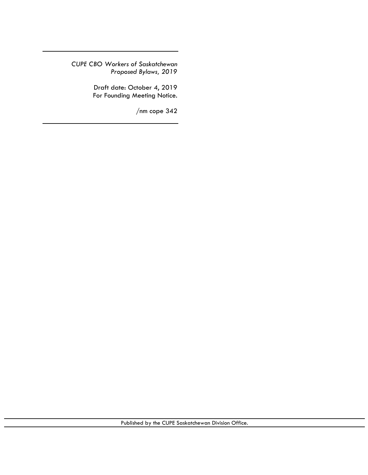*CUPE CBO Workers of Saskatchewan Proposed Bylaws, 2019*

> Draft date: October 4, 2019 For Founding Meeting Notice.

> > /nm cope 342